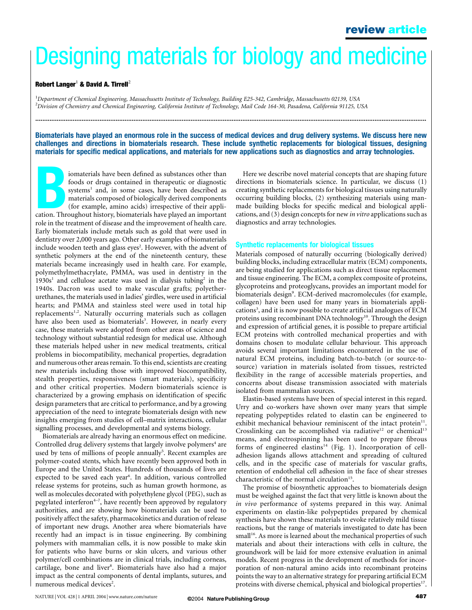# Designing materials for biology and medicine

## Robert Langer<sup>1</sup> & David A. Tirrell<sup>2</sup>

<sup>1</sup>Department of Chemical Engineering, Massachusetts Institute of Technology, Building E25-342, Cambridge, Massachusetts 02139, USA 2 Division of Chemistry and Chemical Engineering, California Institute of Technology, Mail Code 164-30, Pasadena, California 91125, USA

Biomaterials have played an enormous role in the success of medical devices and drug delivery systems. We discuss here new challenges and directions in biomaterials research. These include synthetic replacements for biological tissues, designing materials for specific medical applications, and materials for new applications such as diagnostics and array technologies.

...........................................................................................................................................................................................................................

**Example 3** io materials have been defined as substances other than foods or drugs contained in therapeutic or diagnostic systems<sup>1</sup> and, in some cases, have been described as materials composed of biologically derived com foods or drugs contained in therapeutic or diagnostic systems<sup>1</sup> and, in some cases, have been described as materials composed of biologically derived components (for example, amino acids) irrespective of their applirole in the treatment of disease and the improvement of health care. Early biomaterials include metals such as gold that were used in dentistry over 2,000 years ago. Other early examples of biomaterials include wooden teeth and glass eyes<sup>2</sup>. However, with the advent of synthetic polymers at the end of the nineteenth century, these materials became increasingly used in health care. For example, polymethylmethacrylate, PMMA, was used in dentistry in the  $1930s<sup>1</sup>$  and cellulose acetate was used in dialysis tubing<sup>2</sup> in the 1940s. Dacron was used to make vascular grafts; polyetherurethanes, the materials used in ladies' girdles, were used in artificial hearts; and PMMA and stainless steel were used in total hip replacements<sup>1,2</sup>. Naturally occurring materials such as collagen have also been used as biomaterials<sup>3</sup>. However, in nearly every case, these materials were adopted from other areas of science and technology without substantial redesign for medical use. Although these materials helped usher in new medical treatments, critical problems in biocompatibility, mechanical properties, degradation and numerous other areas remain. To this end, scientists are creating new materials including those with improved biocompatibility, stealth properties, responsiveness (smart materials), specificity and other critical properties. Modern biomaterials science is characterized by a growing emphasis on identification of specific design parameters that are critical to performance, and by a growing appreciation of the need to integrate biomaterials design with new insights emerging from studies of cell–matrix interactions, cellular signalling processes, and developmental and systems biology.

Biomaterials are already having an enormous effect on medicine. Controlled drug delivery systems that largely involve polymers<sup>4</sup> are used by tens of millions of people annually<sup>5</sup>. Recent examples are polymer-coated stents, which have recently been approved both in Europe and the United States. Hundreds of thousands of lives are expected to be saved each year<sup>6</sup>. In addition, various controlled release systems for proteins, such as human growth hormone, as well as molecules decorated with polyethylene glycol (PEG), such as pegylated interferon $4-7$ , have recently been approved by regulatory authorities, and are showing how biomaterials can be used to positively affect the safety, pharmacokinetics and duration of release of important new drugs. Another area where biomaterials have recently had an impact is in tissue engineering. By combining polymers with mammalian cells, it is now possible to make skin for patients who have burns or skin ulcers, and various other polymer/cell combinations are in clinical trials, including corneas, cartilage, bone and liver<sup>8</sup>. Biomaterials have also had a major impact as the central components of dental implants, sutures, and numerous medical devices<sup>2</sup>.

Here we describe novel material concepts that are shaping future directions in biomaterials science. In particular, we discuss (1) creating synthetic replacements for biological tissues using naturally occurring building blocks, (2) synthesizing materials using manmade building blocks for specific medical and biological applications, and (3) design concepts for new in vitro applications such as diagnostics and array technologies.

### Synthetic replacements for biological tissues

Materials composed of naturally occurring (biologically derived) building blocks, including extracellular matrix (ECM) components, are being studied for applications such as direct tissue replacement and tissue engineering. The ECM, a complex composite of proteins, glycoproteins and proteoglycans, provides an important model for biomaterials design<sup>9</sup>. ECM-derived macromolecules (for example, collagen) have been used for many years in biomaterials applications<sup>3</sup>, and it is now possible to create artificial analogues of ECM proteins using recombinant DNA technology<sup>10</sup>. Through the design and expression of artificial genes, it is possible to prepare artificial ECM proteins with controlled mechanical properties and with domains chosen to modulate cellular behaviour. This approach avoids several important limitations encountered in the use of natural ECM proteins, including batch-to-batch (or source-tosource) variation in materials isolated from tissues, restricted flexibility in the range of accessible materials properties, and concerns about disease transmission associated with materials isolated from mammalian sources.

Elastin-based systems have been of special interest in this regard. Urry and co-workers have shown over many years that simple repeating polypeptides related to elastin can be engineered to exhibit mechanical behaviour reminiscent of the intact protein $11$ . Crosslinking can be accomplished via radiative<sup>12</sup> or chemical<sup>13</sup> means, and electrospinning has been used to prepare fibrous forms of engineered elastins<sup>14</sup> (Fig. 1). Incorporation of celladhesion ligands allows attachment and spreading of cultured cells, and in the specific case of materials for vascular grafts, retention of endothelial cell adhesion in the face of shear stresses characteristic of the normal circulation<sup>15</sup>.

The promise of biosynthetic approaches to biomaterials design must be weighed against the fact that very little is known about the in vivo performance of systems prepared in this way. Animal experiments on elastin-like polypeptides prepared by chemical synthesis have shown these materials to evoke relatively mild tissue reactions, but the range of materials investigated to date has been small<sup>16</sup>. As more is learned about the mechanical properties of such materials and about their interactions with cells in culture, the groundwork will be laid for more extensive evaluation in animal models. Recent progress in the development of methods for incorporation of non-natural amino acids into recombinant proteins points the way to an alternative strategy for preparing artificial ECM proteins with diverse chemical, physical and biological properties<sup>17</sup>.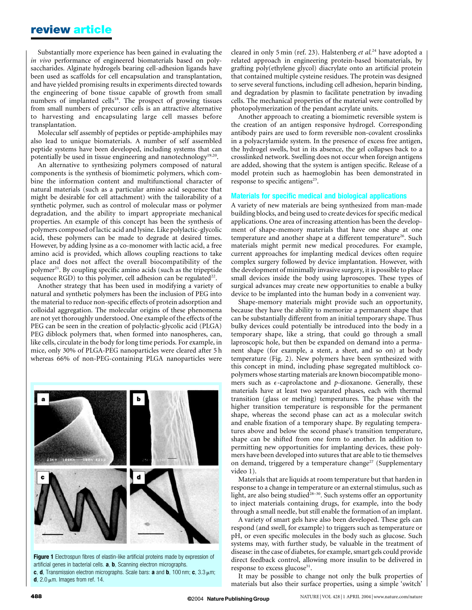Substantially more experience has been gained in evaluating the in vivo performance of engineered biomaterials based on polysaccharides. Alginate hydrogels bearing cell-adhesion ligands have been used as scaffolds for cell encapsulation and transplantation, and have yielded promising results in experiments directed towards the engineering of bone tissue capable of growth from small numbers of implanted cells<sup>18</sup>. The prospect of growing tissues from small numbers of precursor cells is an attractive alternative to harvesting and encapsulating large cell masses before transplantation.

Molecular self assembly of peptides or peptide-amphiphiles may also lead to unique biomaterials. A number of self assembled peptide systems have been developed, including systems that can potentially be used in tissue engineering and nanotechnology<sup>19,20</sup>.

An alternative to synthesizing polymers composed of natural components is the synthesis of biomimetic polymers, which combine the information content and multifunctional character of natural materials (such as a particular amino acid sequence that might be desirable for cell attachment) with the tailorability of a synthetic polymer, such as control of molecular mass or polymer degradation, and the ability to impart appropriate mechanical properties. An example of this concept has been the synthesis of polymers composed of lactic acid and lysine. Like polylactic-glycolic acid, these polymers can be made to degrade at desired times. However, by adding lysine as a co-monomer with lactic acid, a free amino acid is provided, which allows coupling reactions to take place and does not affect the overall biocompatibility of the polymer<sup>21</sup>. By coupling specific amino acids (such as the tripeptide sequence  $RGD$ ) to this polymer, cell adhesion can be regulated<sup>22</sup>.

Another strategy that has been used in modifying a variety of natural and synthetic polymers has been the inclusion of PEG into the material to reduce non-specific effects of protein adsorption and colloidal aggregation. The molecular origins of these phenomena are not yet thoroughly understood. One example of the effects of the PEG can be seen in the creation of polylactic-glycolic acid (PLGA) PEG diblock polymers that, when formed into nanospheres, can, like cells, circulate in the body for long time periods. For example, in mice, only 30% of PLGA-PEG nanoparticles were cleared after 5 h whereas 66% of non-PEG-containing PLGA nanoparticles were



Figure 1 Electrospun fibres of elastin-like artificial proteins made by expression of artificial genes in bacterial cells. **a**, **b**, Scanning electron micrographs. c, d, Transmission electron micrographs. Scale bars: a and b, 100 nm; c,  $3.3 \mu$ m;  $d$ , 2.0  $\mu$ m. Images from ref. 14.

cleared in only 5 min (ref. 23). Halstenberg et  $al^{24}$  have adopted a related approach in engineering protein-based biomaterials, by grafting poly(ethylene glycol) diacrylate onto an artificial protein that contained multiple cysteine residues. The protein was designed to serve several functions, including cell adhesion, heparin binding, and degradation by plasmin to facilitate penetration by invading cells. The mechanical properties of the material were controlled by photopolymerization of the pendant acrylate units.

Another approach to creating a biomimetic reversible system is the creation of an antigen responsive hydrogel. Corresponding antibody pairs are used to form reversible non-covalent crosslinks in a polyacrylamide system. In the presence of excess free antigen, the hydrogel swells, but in its absence, the gel collapses back to a crosslinked network. Swelling does not occur when foreign antigens are added, showing that the system is antigen specific. Release of a model protein such as haemoglobin has been demonstrated in response to specific antigens<sup>25</sup>.

#### Materials for specific medical and biological applications

A variety of new materials are being synthesized from man-made building blocks, and being used to create devices for specific medical applications. One area of increasing attention has been the development of shape-memory materials that have one shape at one temperature and another shape at a different temperature<sup>26</sup>. Such materials might permit new medical procedures. For example, current approaches for implanting medical devices often require complex surgery followed by device implantation. However, with the development of minimally invasive surgery, it is possible to place small devices inside the body using laproscopes. These types of surgical advances may create new opportunities to enable a bulky device to be implanted into the human body in a convenient way.

Shape-memory materials might provide such an opportunity, because they have the ability to memorize a permanent shape that can be substantially different from an initial temporary shape. Thus bulky devices could potentially be introduced into the body in a temporary shape, like a string, that could go through a small laproscopic hole, but then be expanded on demand into a permanent shape (for example, a stent, a sheet, and so on) at body temperature (Fig. 2). New polymers have been synthesized with this concept in mind, including phase segregated multiblock copolymers whose starting materials are known biocompatible monomers such as  $\epsilon$ -caprolactone and p-dioxanone. Generally, these materials have at least two separated phases, each with thermal transition (glass or melting) temperatures. The phase with the higher transition temperature is responsible for the permanent shape, whereas the second phase can act as a molecular switch and enable fixation of a temporary shape. By regulating temperatures above and below the second phase's transition temperature, shape can be shifted from one form to another. In addition to permitting new opportunities for implanting devices, these polymers have been developed into sutures that are able to tie themselves on demand, triggered by a temperature change<sup>27</sup> (Supplementary video 1).

Materials that are liquids at room temperature but that harden in response to a change in temperature or an external stimulus, such as light, are also being studied<sup>28-30</sup>. Such systems offer an opportunity to inject materials containing drugs, for example, into the body through a small needle, but still enable the formation of an implant.

A variety of smart gels have also been developed. These gels can respond (and swell, for example) to triggers such as temperature or pH, or even specific molecules in the body such as glucose. Such systems may, with further study, be valuable in the treatment of disease: in the case of diabetes, for example, smart gels could provide direct feedback control, allowing more insulin to be delivered in response to excess glucose<sup>31</sup>.

It may be possible to change not only the bulk properties of materials but also their surface properties, using a simple 'switch'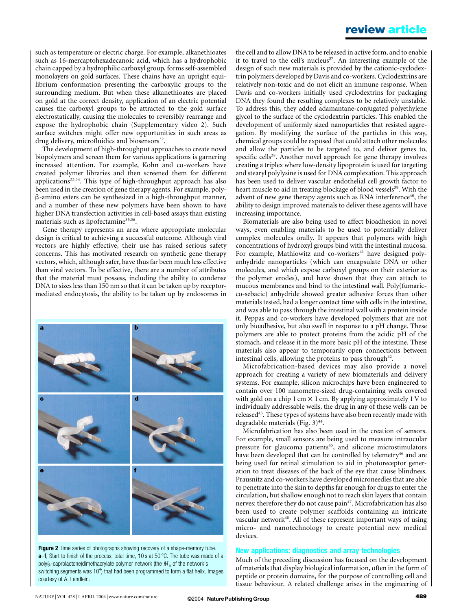## review article

such as temperature or electric charge. For example, alkanethioates such as 16-mercaptohexadecanoic acid, which has a hydrophobic chain capped by a hydrophilic carboxyl group, forms self-assembled monolayers on gold surfaces. These chains have an upright equilibrium conformation presenting the carboxylic groups to the surrounding medium. But when these alkanethioates are placed on gold at the correct density, application of an electric potential causes the carboxyl groups to be attracted to the gold surface electrostatically, causing the molecules to reversibly rearrange and expose the hydrophobic chain (Supplementary video 2). Such surface switches might offer new opportunities in such areas as drug delivery, microfluidics and biosensors<sup>32</sup>.

The development of high-throughput approaches to create novel biopolymers and screen them for various applications is garnering increased attention. For example, Kohn and co-workers have created polymer libraries and then screened them for different applications<sup>33,34</sup>. This type of high-throughput approach has also been used in the creation of gene therapy agents. For example, poly- $\beta$ -amino esters can be synthesized in a high-throughput manner, and a number of these new polymers have been shown to have higher DNA transfection activities in cell-based assays than existing materials such as lipofectamine<sup>35,36</sup>.

Gene therapy represents an area where appropriate molecular design is critical to achieving a successful outcome. Although viral vectors are highly effective, their use has raised serious safety concerns. This has motivated research on synthetic gene therapy vectors, which, although safer, have thus far been much less effective than viral vectors. To be effective, there are a number of attributes that the material must possess, including the ability to condense DNA to sizes less than 150 nm so that it can be taken up by receptormediated endocytosis, the ability to be taken up by endosomes in



Figure 2 Time series of photographs showing recovery of a shape-memory tube.  $a$ –f, Start to finish of the process; total time, 10 s at 50 °C. The tube was made of a poly( $\epsilon$ -caprolactone)dimethacrylate polymer network (the  $M_n$  of the network's switching segments was  $10^4$ ) that had been programmed to form a flat helix. Images courtesy of A. Lendlein.

the cell and to allow DNA to be released in active form, and to enable it to travel to the cell's nucleus<sup>37</sup>. An interesting example of the design of such new materials is provided by the cationic-cyclodextrin polymers developed by Davis and co-workers. Cyclodextrins are relatively non-toxic and do not elicit an immune response. When Davis and co-workers initially used cyclodextrins for packaging DNA they found the resulting complexes to be relatively unstable. To address this, they added adamantane-conjugated polyethylene glycol to the surface of the cyclodextrin particles. This enabled the development of uniformly sized nanoparticles that resisted aggregation. By modifying the surface of the particles in this way, chemical groups could be exposed that could attach other molecules and allow the particles to be targeted to, and deliver genes to, specific cells<sup>38</sup>. Another novel approach for gene therapy involves creating a triplex where low-density lipoprotein is used for targeting and stearyl polylysine is used for DNA complexation. This approach has been used to deliver vascular endothelial cell growth factor to heart muscle to aid in treating blockage of blood vessels<sup>39</sup>. With the advent of new gene therapy agents such as RNA interference<sup>40</sup>, the ability to design improved materials to deliver these agents will have increasing importance.

Biomaterials are also being used to affect bioadhesion in novel ways, even enabling materials to be used to potentially deliver complex molecules orally. It appears that polymers with high concentrations of hydroxyl groups bind with the intestinal mucosa. For example, Mathiowitz and co-workers<sup>41</sup> have designed polyanhydride nanoparticles (which can encapsulate DNA or other molecules, and which expose carboxyl groups on their exterior as the polymer erodes), and have shown that they can attach to mucous membranes and bind to the intestinal wall. Poly(fumaricco-sebacic) anhydride showed greater adhesive forces than other materials tested, had a longer contact time with cells in the intestine, and was able to pass through the intestinal wall with a protein inside it. Peppas and co-workers have developed polymers that are not only bioadhesive, but also swell in response to a pH change. These polymers are able to protect proteins from the acidic pH of the stomach, and release it in the more basic pH of the intestine. These materials also appear to temporarily open connections between intestinal cells, allowing the proteins to pass through<sup>42</sup>.

Microfabrication-based devices may also provide a novel approach for creating a variety of new biomaterials and delivery systems. For example, silicon microchips have been engineered to contain over 100 nanometre-sized drug-containing wells covered with gold on a chip  $1 \text{ cm} \times 1 \text{ cm}$ . By applying approximately  $1 \text{ V}$  to individually addressable wells, the drug in any of these wells can be released<sup>43</sup>. These types of systems have also been recently made with degradable materials (Fig.  $3)^{44}$ .

Microfabrication has also been used in the creation of sensors. For example, small sensors are being used to measure intraocular pressure for glaucoma patients<sup>45</sup>, and silicone microstimulators have been developed that can be controlled by telemetry<sup>46</sup> and are being used for retinal stimulation to aid in photoreceptor generation to treat diseases of the back of the eye that cause blindness. Prausnitz and co-workers have developed microneedles that are able to penetrate into the skin to depths far enough for drugs to enter the circulation, but shallow enough not to reach skin layers that contain nerves: therefore they do not cause pain<sup>47</sup>. Microfabrication has also been used to create polymer scaffolds containing an intricate vascular network<sup>48</sup>. All of these represent important ways of using micro- and nanotechnology to create potential new medical devices.

#### New applications: diagnostics and array technologies

Much of the preceding discussion has focused on the development of materials that display biological information, often in the form of peptide or protein domains, for the purpose of controlling cell and tissue behaviour. A related challenge arises in the engineering of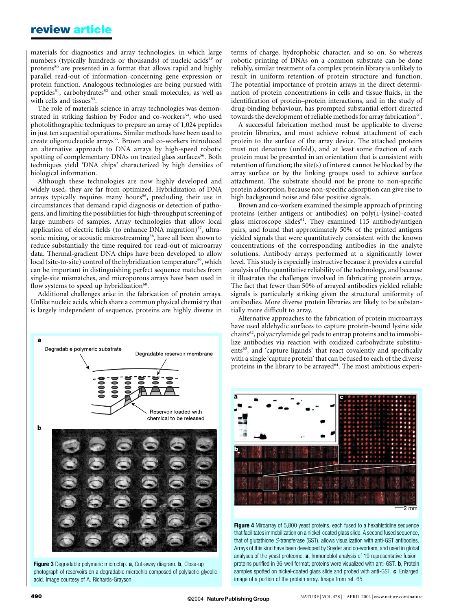materials for diagnostics and array technologies, in which large numbers (typically hundreds or thousands) of nucleic acids<sup>49</sup> or proteins<sup>50</sup> are presented in a format that allows rapid and highly parallel read-out of information concerning gene expression or protein function. Analogous technologies are being pursued with peptides<sup>51</sup>, carbohydrates<sup>52</sup> and other small molecules, as well as with cells and tissues<sup>53</sup>.

The role of materials science in array technologies was demonstrated in striking fashion by Fodor and co-workers<sup>54</sup>, who used photolithographic techniques to prepare an array of 1,024 peptides in just ten sequential operations. Similar methods have been used to create oligonucleotide arrays<sup>55</sup>. Brown and co-workers introduced an alternative approach to DNA arrays by high-speed robotic spotting of complementary DNAs on treated glass surfaces<sup>56</sup>. Both techniques yield 'DNA chips' characterized by high densities of biological information.

Although these technologies are now highly developed and widely used, they are far from optimized. Hybridization of DNA arrays typically requires many hours<sup>56</sup>, precluding their use in circumstances that demand rapid diagnosis or detection of pathogens, and limiting the possibilities for high-throughput screening of large numbers of samples. Array technologies that allow local application of electric fields (to enhance DNA migration) $57$ , ultrasonic mixing, or acoustic microstreaming<sup>58</sup>, have all been shown to reduce substantially the time required for read-out of microarray data. Thermal-gradient DNA chips have been developed to allow local (site-to-site) control of the hybridization temperature<sup>59</sup>, which can be important in distinguishing perfect sequence matches from single-site mismatches, and microporous arrays have been used in flow systems to speed up hybridization $60$ .

Additional challenges arise in the fabrication of protein arrays. Unlike nucleic acids, which share a common physical chemistry that is largely independent of sequence, proteins are highly diverse in



Figure 3 Degradable polymeric microchip. a, Cut-away diagram. b, Close-up photograph of reservoirs on a degradable microchip composed of polylactic-glycolic acid. Image courtesy of A. Richards-Grayson.

terms of charge, hydrophobic character, and so on. So whereas robotic printing of DNAs on a common substrate can be done reliably, similar treatment of a complex protein library is unlikely to result in uniform retention of protein structure and function. The potential importance of protein arrays in the direct determination of protein concentrations in cells and tissue fluids, in the identification of protein–protein interactions, and in the study of drug-binding behaviour, has prompted substantial effort directed towards the development of reliable methods for array fabrication<sup>50</sup>.

A successful fabrication method must be applicable to diverse protein libraries, and must achieve robust attachment of each protein to the surface of the array device. The attached proteins must not denature (unfold), and at least some fraction of each protein must be presented in an orientation that is consistent with retention of function; the site(s) of interest cannot be blocked by the array surface or by the linking groups used to achieve surface attachment. The substrate should not be prone to non-specific protein adsorption, because non-specific adsorption can give rise to high background noise and false positive signals.

Brown and co-workers examined the simple approach of printing proteins (either antigens or antibodies) on poly(L-lysine)-coated glass microscope slides<sup>61</sup>. They examined 115 antibody/antigen pairs, and found that approximately 50% of the printed antigens yielded signals that were quantitatively consistent with the known concentrations of the corresponding antibodies in the analyte solutions. Antibody arrays performed at a significantly lower level. This study is especially instructive because it provides a careful analysis of the quantitative reliability of the technology, and because it illustrates the challenges involved in fabricating protein arrays. The fact that fewer than 50% of arrayed antibodies yielded reliable signals is particularly striking given the structural uniformity of antibodies. More diverse protein libraries are likely to be substantially more difficult to array.

Alternative approaches to the fabrication of protein microarrays have used aldehydic surfaces to capture protein-bound lysine side chains<sup>62</sup>, polyacrylamide gel pads to entrap proteins and to immobilize antibodies via reaction with oxidized carbohydrate substituents<sup>63</sup>, and 'capture ligands' that react covalently and specifically with a single 'capture protein' that can be fused to each of the diverse proteins in the library to be arrayed<sup>64</sup>. The most ambitious experi-



Figure 4 Miroarray of 5,800 yeast proteins, each fused to a hexahistidine sequence that facilitates immobilization on a nickel-coated glass slide. A second fused sequence, that of glutathione S-transferase (GST), allows visualization with anti-GST antibodies. Arrays of this kind have been developed by Snyder and co-workers, and used in global analyses of the yeast proteome. a, Immunoblot analysis of 19 representative fusion proteins purified in 96-well format; proteins were visualized with anti-GST. **b**, Protein samples spotted on nickel-coated glass slide and probed with anti-GST. c, Enlarged image of a portion of the protein array. Image from ref. 65.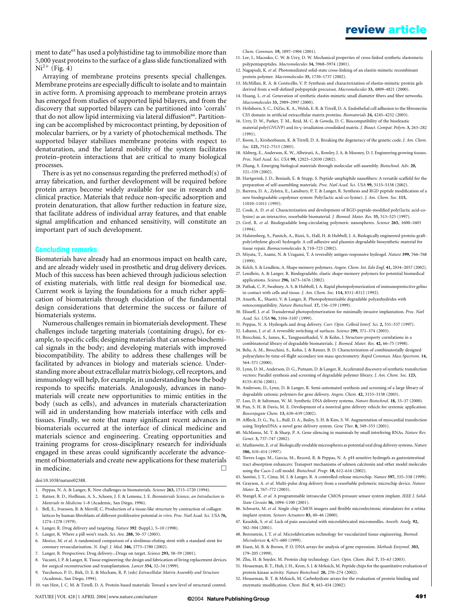

ment to date<sup>65</sup> has used a polyhistidine tag to immobilize more than 5,000 yeast proteins to the surface of a glass slide functionalized with  $Ni^{2+}$  (Fig. 4)

Arraying of membrane proteins presents special challenges. Membrane proteins are especially difficult to isolate and to maintain in active form. A promising approach to membrane protein arrays has emerged from studies of supported lipid bilayers, and from the discovery that supported bilayers can be partitioned into 'corrals' that do not allow lipid intermixing via lateral diffusion<sup>66</sup>. Partitioning can be accomplished by microcontact printing, by deposition of molecular barriers, or by a variety of photochemical methods. The supported bilayer stabilizes membrane proteins with respect to denaturation, and the lateral mobility of the system facilitates protein–protein interactions that are critical to many biological processes.

There is as yet no consensus regarding the preferred method(s) of array fabrication, and further development will be required before protein arrays become widely available for use in research and clinical practice. Materials that reduce non-specific adsorption and protein denaturation, that allow further reduction in feature size, that facilitate address of individual array features, and that enable signal amplification and enhanced sensitivity, will constitute an important part of such development.

#### Concluding remarks

Biomaterials have already had an enormous impact on health care, and are already widely used in prosthetic and drug delivery devices. Much of this success has been achieved through judicious selection of existing materials, with little real design for biomedical use. Current work is laying the foundations for a much richer application of biomaterials through elucidation of the fundamental design considerations that determine the success or failure of biomaterials systems.

Numerous challenges remain in biomaterials development. These challenges include targeting materials (containing drugs), for example, to specific cells; designing materials that can sense biochemical signals in the body; and developing materials with improved biocompatibility. The ability to address these challenges will be facilitated by advances in biology and materials science. Understanding more about extracellular matrix biology, cell receptors, and immunology will help, for example, in understanding how the body responds to specific materials. Analogously, advances in nanomaterials will create new opportunities to mimic entities in the body (such as cells), and advances in materials characterization will aid in understanding how materials interface with cells and tissues. Finally, we note that many significant recent advances in biomaterials occurred at the interface of clinical medicine and materials science and engineering. Creating opportunities and training programs for cross-disciplinary research for individuals engaged in these areas could significantly accelerate the advancement of biomaterials and create new applications for these materials in medicine.  $\Box$ 

#### doi:10.1038/nature02388.

- 1. Peppas, N. A. & Langer, R. New challenges in biomaterials. Science 263, 1715–1720 (1994).
- 2. Ratner, B. D., Hoffman, A. S., Schoen, J. F. & Lemons, J. E. Biomaterials Science, an Introduction to Materials in Medicine 1–8 (Academic, San Diego, 1996).
- 3. Bell, E., Ivarsson, B. & Merrill, C. Production of a tissue-like structure by contraction of collagen lattices by human fibroblasts of different proliferative potential in vitro. Proc. Natl Acad. Sci. USA 76, 1274–1278 (1979).
- 4. Langer, R. Drug delivery and targeting. Nature 392 (Suppl.), 5–10 (1998).
- 5. Langer, R. Where a pill won't reach. Sci. Am. 288, 50–57 (2003).
- 6. Morice, M. et al. A randomized comparison of a sirolimus-eluting stent with a standard stent for coronary revascularization. N. Engl. J. Med. 346, 1773–1780 (2002).
- 7. Langer, R. Perspectives: Drug delivery—Drugs on target. Science 293, 58–59 (2001).
- 8. Vacanti, J. P. & Langer, R. Tissue engineering: the design and fabrication of living replacement devices for surgical reconstruction and transplantation. Lancet 354, 32–34 (1999).
- 9. Yurchenco, P. D., Birk, D. E. & Mecham, R. P. (eds) Extracellular Matrix Assembly and Structure (Academic, San Diego, 1994).

10. van Hest, J. C. M. & Tirrell, D. A. Protein-based materials: Toward a new level of structural control.

Chem. Commun. 19, 1897–1904 (2001).

- 11. Lee, J., Macosko, C. W. & Urry, D. W. Mechanical properties of cross-linked synthetic elastomeric polypentapeptides. Macromolecules 34, 5968–5974 (2001).
- 12. Nagapudi, K. et al. Photomediated solid-state cross-linking of an elastin-mimetic recombinant protein polymer. Macromolecules 35, 1730–1737 (2002).
- 13. McMillan, R. A. & Conticello, V. P. Synthesis and characterization of elastin-mimetic protein gels derived from a well-defined polypeptide precursor. Macromolecules 33, 4809–4821 (2000).
- 14. Huang, L. et al. Generation of synthetic elastin-mimetic small diameter fibers and fiber networks. Macromolecules 33, 2989–2997 (2000).
- 15. Heilshorn, S. C., DiZio, K. A., Welsh, E. R. & Tirrell, D. A. Endothelial cell adhesion to the fibronectin CS5 domain in artificial extracellular matrix proteins. Biomaterials 24, 4245–4252 (2003).
- 16. Urry, D. W., Parker, T. M., Reid, M. C. & Gowda, D. C. Biocompatibility of the bioeleastic material poly(GVGVP) and its  $\gamma$ -irradiation crosslinked matrix. J. Bioact. Compat. Polym. 3, 263-282 (1991).
- 17. Kwon, I., Kirshenbaum, K. & Tirrell, D. A. Breaking the degeneracy of the genetic code. J. Am. Chem. Soc. 125, 7512-7513 (2003).
- 18. Alsberg, E., Anderson, K. W., Albeiruti, A., Rowley, J. A. & Mooney, D. J. Engineering growing tissues. Proc. Natl Acad. Sci. USA 99, 12025–12030 (2002).
- 19. Zhang, S. Emerging biological materials through molecular self-assembly. Biotechnol. Adv. 20, 321–339 (2002).
- 20. Hartgerink, J. D., Beniash, E. & Stupp, S. Peptide-amphiphile nanofibers: A versatile scaffold for the preparation of self-assembling materials. Proc. Natl Acad. Sci. USA 99, 5133–5138 (2002).
- 21. Barrera, D. A., Zylstra, E., Lansbury, P. T. & Langer, R. Synthesis and RGD peptide modification of a new biodegradable copolymer system: Poly(lactic acid-co-lysine). J. Am. Chem. Soc. 115, 11010–11011 (1993).
- 22. Cook, A. D. et al. Characterization and development of RGD-peptide-modified poly(lactic acid-colysine) as an interactive, resorbable biomaterial. J. Biomed. Mater. Res. 35, 513–523 (1997).
- 23. Gref, R. et al. Biodegradable long-circulating polymeric nanospheres. Science 263, 1600–1603  $(1994)$
- 24. Halstenberg, S., Panitch, A., Rizzi, S., Hall, H. & Hubbell, J. A. Biologically engineered protein-graftpoly(ethylene glycol) hydrogels: A cell adhesive and plasmin-degradable biosynthetic material for tissue repair. Biomacromolecules 3, 710–723 (2002).
- 25. Miyata, T., Asami, N. & Uragami, T. A reversibly antigen-responsive hydrogel. Nature 399, 766–768 (1999).
- 26. Kelch, S. & Lendlein, A. Shape memory polymers. Angew. Chem. Int. Edn Engl. 41, 2034–2057 (2002). 27. Lendlein, A. & Langer, R. Biodegradable, elastic shape-memory polymers for potential biomedical
- applications. Science 296, 1673–1676 (2002). 28. Pathak, C. P., Swahney, A. S. & Hubbell, J. A. Rapid photopolymerization of immunoprotective gelins
- in contact with cells and tissue. J. Am. Chem. Soc. 114, 8311–8312 (1992). 29. Anseth, K., Shastri, V. & Langer, R. Photopolymerizable degradable polyanhydrides with
- osteocompatibility. Nature Biotechnol. 17, 156–159 (1999).
- 30. Elisseff, J. et al. Transdermal photopolymerization for minimally invasive implantation. Proc. Natl Acad. Sci. USA 96, 3104–3107 (1999).
- 31. Peppas, N. A. Hydrogels and drug delivery. Curr. Opin. Colloid Interf. Sci. 2, 531–537 (1997).
- 32. Lahann, J. et al. A reversible switching of surfaces. Science 299, 371–374 (2003).
- 33. Brocchini, S., James, K., Tangpasuthadol, V. & Kohn, J. Structure-property correlations in a combinatorial library of degradable biomaterials. J. Biomed. Mater. Res. 42, 66–75 (1998).
- 34. Belu, A. M., Brocchini, S., Kohn, J. & Ratner, B. D. Characterization of combinatorially designed polyarylates by time-of-flight secondary ion mass spectrometry. Rapid Commun. Mass Spectrom. 14, 564–571 (2000).
- 35. Lynn, D. M., Anderson, D. G., Putnam, D. & Langer, R. Accelerated discovery of synthetic transfection vectors: Parallel synthesis and screening of degradable polymer library. J. Am. Chem. Soc. 123, 8155–8156 (2001).
- 36. Anderson, D., Lynn, D. & Langer, R. Semi-automated synthesis and screening of a large library of degradable cationic polymers for gene delivery. Angew. Chem. 42, 3153–3158 (2003).
- 37. Luo, D. & Saltzman, W. M. Synthetic DNA delivery systems. Nature Biotechnol. 18, 33–37 (2000).
- 38. Pun, S. H. & Davis, M. E. Development of a nonviral gene delivery vehicle for systemic application. Bioconjugate Chem. 13, 630–639 (2002).
- 39. Affleck, D. G., Yu, L., Bull, D. A., Bailey, S. H. & Kim, S. W. Augmentation of myocardial transfection using TerplexDNA: a novel gene delivery system. Gene Ther. 8, 349–353 (2001).
- 40. McManus, M. T. & Sharp, P. A. Gene silencing in mammals by small interfering RNAs. Nature Rev. Genet. 3, 737-747 (2002).
- 41. Mathiowitz, E. et al. Biologically erodable microspheres as potential oral drug delivery systems. Nature 386, 410–414 (1997).
- 42. Torres-Lugo, M., Garcia, M., Record, R. & Peppas, N. A. pH-sensitive hydrogels as gastrointestinal tract absorption enhancers: Transport mechanisms of salmon calcitonin and other model molecules using the Caco-2 cell model. Biotechnol. Progr. 18, 612–616 (2002).
- 43. Santini, J. T., Cima, M. J. & Langer, R. A controlled-release microchip. Nature 397, 335–338 (1999). 44. Grayson, A. et al. Multi-pulse drug delivery from a resorbable polymeric microchip device. Nature Mater. 2, 767–772 (2003).
- 45. Stangel, K. et al. A programmable intraocular CMOS pressure sensor system implant. IEEE J. Solid-State Circuits 36, 1094–1100 (2001).
- 46. Schwartz, M. et al. Single chip CMOS imagers and flexible microelectronic stimulators for a retina implant system. Sensors Actuators 83, 40–46 (2000).
- 47. Kaushik, S. et al. Lack of pain associated with microfabricated microneedles. Anesth. Analg. 92, 502–504 (2001).
- 48. Borenstein, J. T. et al. Microfabrication technology for vascularized tissue engineering. Biomed. Microdevices 4, 671–680 (1999).
- 49. Eisen, M. B. & Brown, P. O. DNA arrays for analysis of gene expression. Methods Enzymol. 303, 179–205 (1999).
- 50. Zhu, H. & Snyder, M. Protein chip technology. Curr. Opin. Chem. Biol. 7, 55–63 (2003).
- 51. Houseman, B. T., Huh, J. H., Kron, S. J. & Mrksich, M. Peptide chips for the quantitative evaluation of protein kinase activity. Nature Biotechnol. 20, 270–274 (2002).
- 52. Houseman, B. T. & Mrksich, M. Carbohydrate arrays for the evaluation of protein binding and enzymatic modification. Chem. Biol. 9, 443–454 (2002).